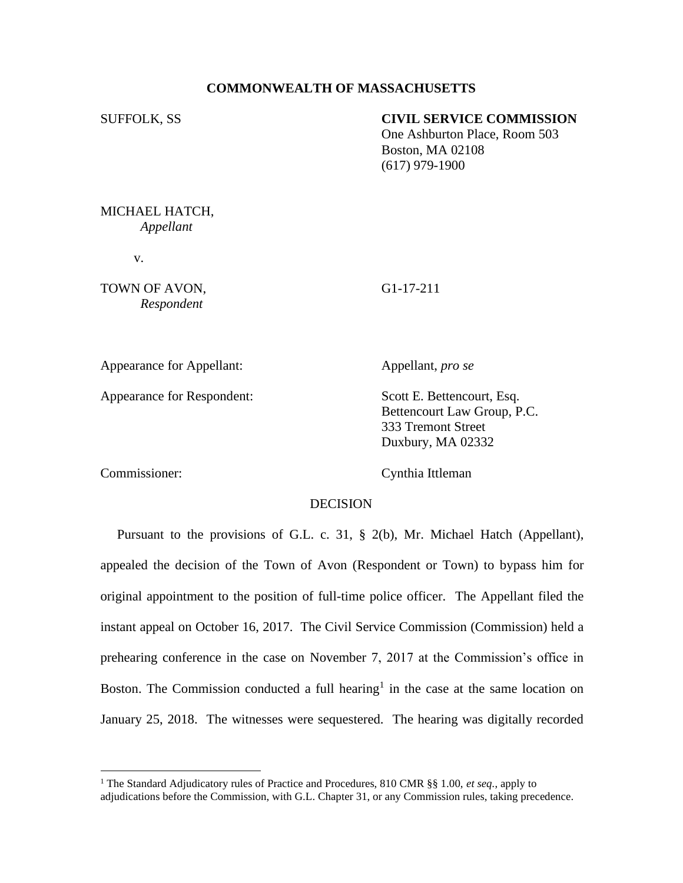## **COMMONWEALTH OF MASSACHUSETTS**

### SUFFOLK, SS **CIVIL SERVICE COMMISSION**

One Ashburton Place, Room 503 Boston, MA 02108 (617) 979-1900

MICHAEL HATCH, *Appellant*

v.

TOWN OF AVON, G1-17-211 *Respondent*

Appearance for Appellant: Appellant, *pro se*

Appearance for Respondent: Scott E. Bettencourt, Esq.

Bettencourt Law Group, P.C. 333 Tremont Street Duxbury, MA 02332

Commissioner: Cynthia Ittleman

### DECISION

 Pursuant to the provisions of G.L. c. 31, § 2(b), Mr. Michael Hatch (Appellant), appealed the decision of the Town of Avon (Respondent or Town) to bypass him for original appointment to the position of full-time police officer. The Appellant filed the instant appeal on October 16, 2017. The Civil Service Commission (Commission) held a prehearing conference in the case on November 7, 2017 at the Commission's office in Boston. The Commission conducted a full hearing<sup>1</sup> in the case at the same location on January 25, 2018. The witnesses were sequestered. The hearing was digitally recorded

<sup>1</sup> The Standard Adjudicatory rules of Practice and Procedures, 810 CMR §§ 1.00, *et seq.*, apply to adjudications before the Commission, with G.L. Chapter 31, or any Commission rules, taking precedence.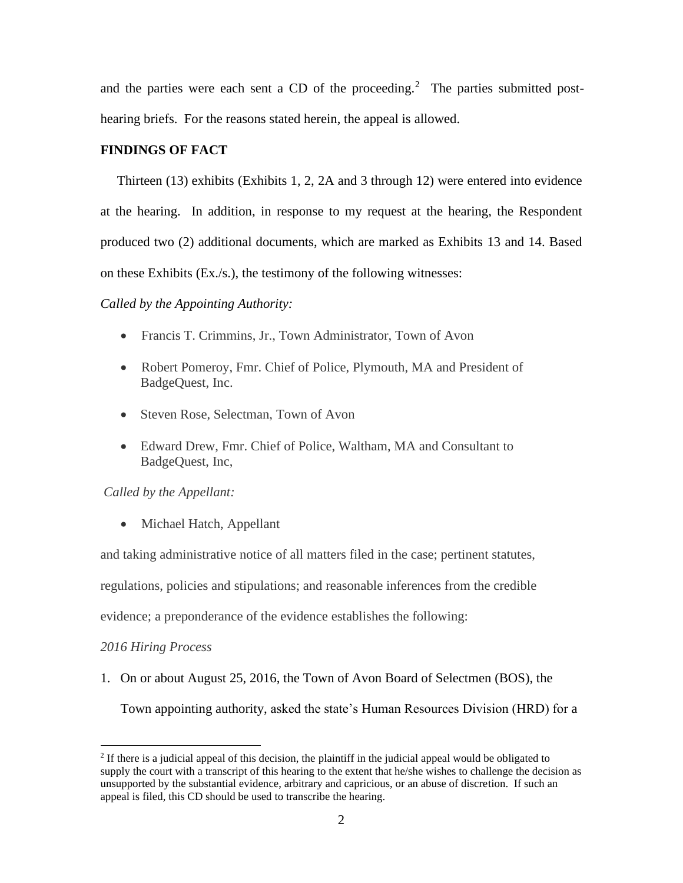and the parties were each sent a CD of the proceeding.<sup>2</sup> The parties submitted posthearing briefs. For the reasons stated herein, the appeal is allowed.

# **FINDINGS OF FACT**

 Thirteen (13) exhibits (Exhibits 1, 2, 2A and 3 through 12) were entered into evidence at the hearing. In addition, in response to my request at the hearing, the Respondent produced two (2) additional documents, which are marked as Exhibits 13 and 14. Based on these Exhibits (Ex./s.), the testimony of the following witnesses:

# *Called by the Appointing Authority:*

- Francis T. Crimmins, Jr., Town Administrator, Town of Avon
- Robert Pomeroy, Fmr. Chief of Police, Plymouth, MA and President of BadgeQuest, Inc.
- Steven Rose, Selectman, Town of Avon
- Edward Drew, Fmr. Chief of Police, Waltham, MA and Consultant to BadgeQuest, Inc,

# *Called by the Appellant:*

• Michael Hatch, Appellant

and taking administrative notice of all matters filed in the case; pertinent statutes,

regulations, policies and stipulations; and reasonable inferences from the credible

evidence; a preponderance of the evidence establishes the following:

### *2016 Hiring Process*

1. On or about August 25, 2016, the Town of Avon Board of Selectmen (BOS), the

Town appointing authority, asked the state's Human Resources Division (HRD) for a

<sup>&</sup>lt;sup>2</sup> If there is a judicial appeal of this decision, the plaintiff in the judicial appeal would be obligated to supply the court with a transcript of this hearing to the extent that he/she wishes to challenge the decision as unsupported by the substantial evidence, arbitrary and capricious, or an abuse of discretion. If such an appeal is filed, this CD should be used to transcribe the hearing.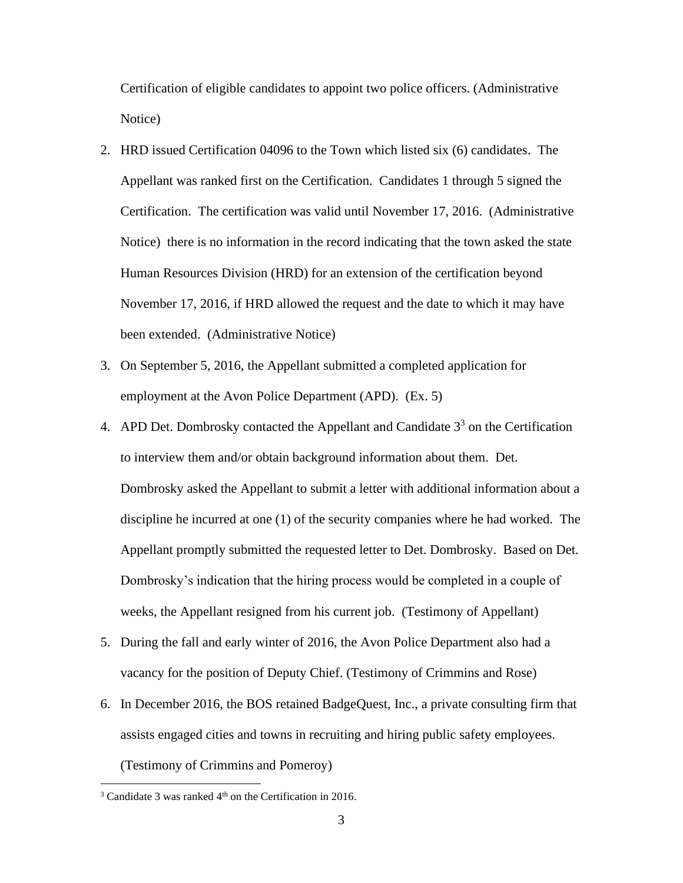Certification of eligible candidates to appoint two police officers. (Administrative Notice)

- 2. HRD issued Certification 04096 to the Town which listed six (6) candidates. The Appellant was ranked first on the Certification. Candidates 1 through 5 signed the Certification. The certification was valid until November 17, 2016. (Administrative Notice) there is no information in the record indicating that the town asked the state Human Resources Division (HRD) for an extension of the certification beyond November 17, 2016, if HRD allowed the request and the date to which it may have been extended. (Administrative Notice)
- 3. On September 5, 2016, the Appellant submitted a completed application for employment at the Avon Police Department (APD). (Ex. 5)
- 4. APD Det. Dombrosky contacted the Appellant and Candidate  $3<sup>3</sup>$  on the Certification to interview them and/or obtain background information about them. Det. Dombrosky asked the Appellant to submit a letter with additional information about a discipline he incurred at one (1) of the security companies where he had worked. The Appellant promptly submitted the requested letter to Det. Dombrosky. Based on Det. Dombrosky's indication that the hiring process would be completed in a couple of weeks, the Appellant resigned from his current job. (Testimony of Appellant)
- 5. During the fall and early winter of 2016, the Avon Police Department also had a vacancy for the position of Deputy Chief. (Testimony of Crimmins and Rose)
- 6. In December 2016, the BOS retained BadgeQuest, Inc., a private consulting firm that assists engaged cities and towns in recruiting and hiring public safety employees. (Testimony of Crimmins and Pomeroy)

 $3$  Candidate 3 was ranked  $4<sup>th</sup>$  on the Certification in 2016.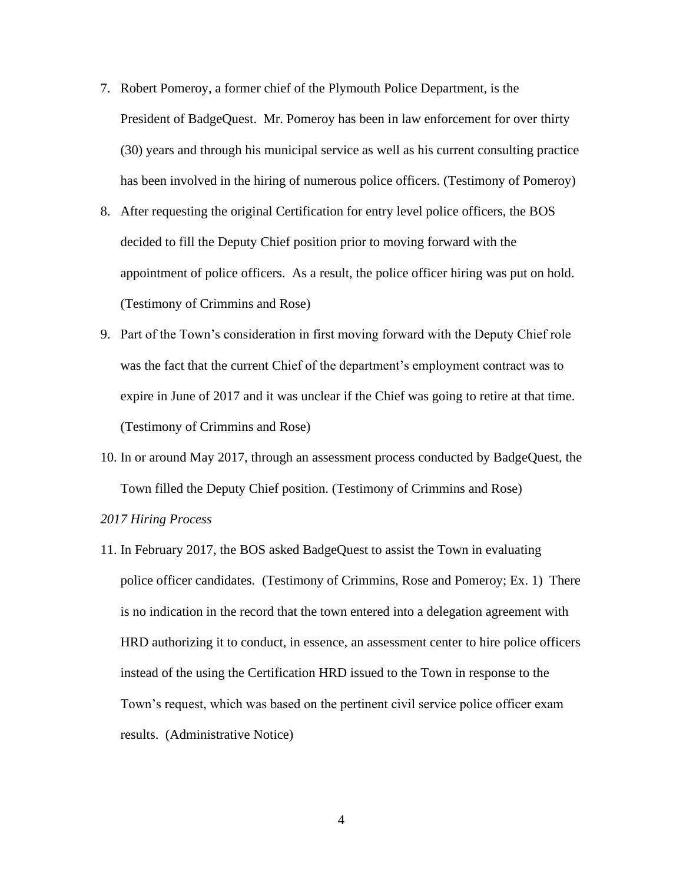- 7. Robert Pomeroy, a former chief of the Plymouth Police Department, is the President of BadgeQuest. Mr. Pomeroy has been in law enforcement for over thirty (30) years and through his municipal service as well as his current consulting practice has been involved in the hiring of numerous police officers. (Testimony of Pomeroy)
- 8. After requesting the original Certification for entry level police officers, the BOS decided to fill the Deputy Chief position prior to moving forward with the appointment of police officers. As a result, the police officer hiring was put on hold. (Testimony of Crimmins and Rose)
- 9. Part of the Town's consideration in first moving forward with the Deputy Chief role was the fact that the current Chief of the department's employment contract was to expire in June of 2017 and it was unclear if the Chief was going to retire at that time. (Testimony of Crimmins and Rose)
- 10. In or around May 2017, through an assessment process conducted by BadgeQuest, the Town filled the Deputy Chief position. (Testimony of Crimmins and Rose)

#### *2017 Hiring Process*

11. In February 2017, the BOS asked BadgeQuest to assist the Town in evaluating police officer candidates. (Testimony of Crimmins, Rose and Pomeroy; Ex. 1) There is no indication in the record that the town entered into a delegation agreement with HRD authorizing it to conduct, in essence, an assessment center to hire police officers instead of the using the Certification HRD issued to the Town in response to the Town's request, which was based on the pertinent civil service police officer exam results. (Administrative Notice)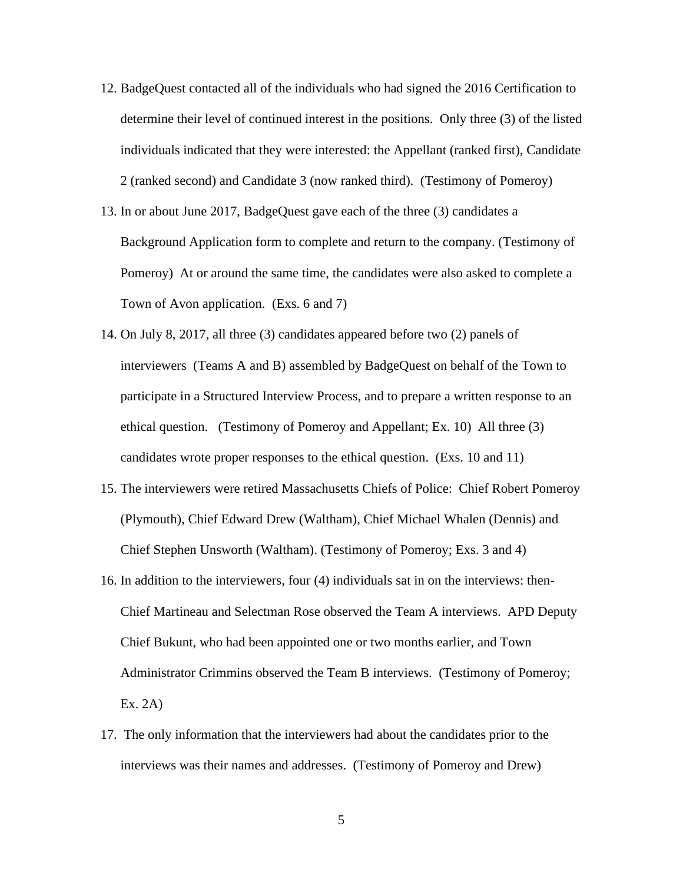- 12. BadgeQuest contacted all of the individuals who had signed the 2016 Certification to determine their level of continued interest in the positions. Only three (3) of the listed individuals indicated that they were interested: the Appellant (ranked first), Candidate 2 (ranked second) and Candidate 3 (now ranked third). (Testimony of Pomeroy)
- 13. In or about June 2017, BadgeQuest gave each of the three (3) candidates a Background Application form to complete and return to the company. (Testimony of Pomeroy) At or around the same time, the candidates were also asked to complete a Town of Avon application. (Exs. 6 and 7)
- 14. On July 8, 2017, all three (3) candidates appeared before two (2) panels of interviewers (Teams A and B) assembled by BadgeQuest on behalf of the Town to participate in a Structured Interview Process, and to prepare a written response to an ethical question. (Testimony of Pomeroy and Appellant; Ex. 10) All three (3) candidates wrote proper responses to the ethical question. (Exs. 10 and 11)
- 15. The interviewers were retired Massachusetts Chiefs of Police: Chief Robert Pomeroy (Plymouth), Chief Edward Drew (Waltham), Chief Michael Whalen (Dennis) and Chief Stephen Unsworth (Waltham). (Testimony of Pomeroy; Exs. 3 and 4)
- 16. In addition to the interviewers, four (4) individuals sat in on the interviews: then-Chief Martineau and Selectman Rose observed the Team A interviews. APD Deputy Chief Bukunt, who had been appointed one or two months earlier, and Town Administrator Crimmins observed the Team B interviews. (Testimony of Pomeroy; Ex. 2A)
- 17. The only information that the interviewers had about the candidates prior to the interviews was their names and addresses. (Testimony of Pomeroy and Drew)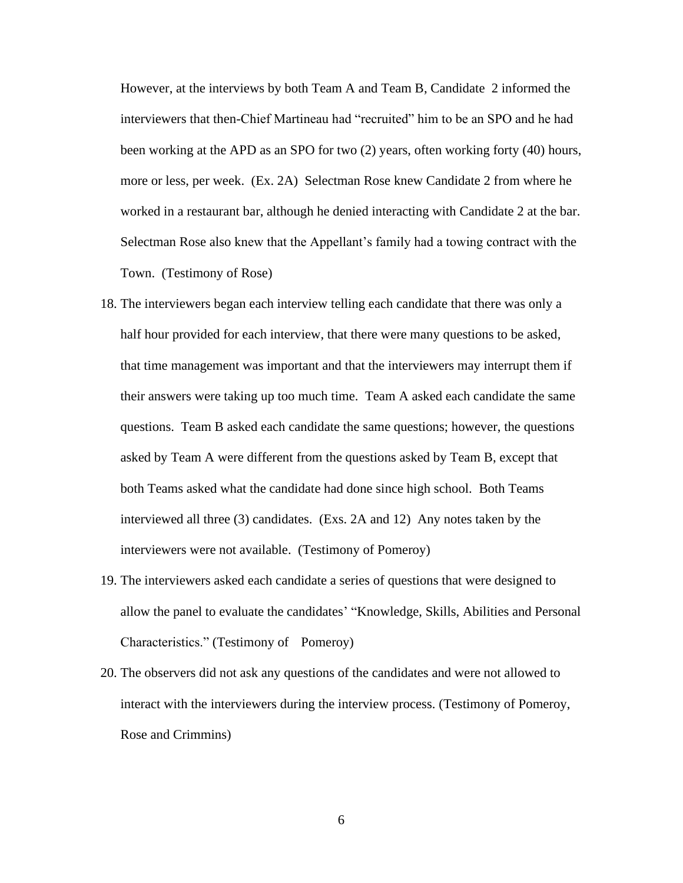However, at the interviews by both Team A and Team B, Candidate 2 informed the interviewers that then-Chief Martineau had "recruited" him to be an SPO and he had been working at the APD as an SPO for two (2) years, often working forty (40) hours, more or less, per week. (Ex. 2A) Selectman Rose knew Candidate 2 from where he worked in a restaurant bar, although he denied interacting with Candidate 2 at the bar. Selectman Rose also knew that the Appellant's family had a towing contract with the Town. (Testimony of Rose)

- 18. The interviewers began each interview telling each candidate that there was only a half hour provided for each interview, that there were many questions to be asked, that time management was important and that the interviewers may interrupt them if their answers were taking up too much time. Team A asked each candidate the same questions. Team B asked each candidate the same questions; however, the questions asked by Team A were different from the questions asked by Team B, except that both Teams asked what the candidate had done since high school. Both Teams interviewed all three (3) candidates. (Exs. 2A and 12) Any notes taken by the interviewers were not available. (Testimony of Pomeroy)
- 19. The interviewers asked each candidate a series of questions that were designed to allow the panel to evaluate the candidates' "Knowledge, Skills, Abilities and Personal Characteristics." (Testimony of Pomeroy)
- 20. The observers did not ask any questions of the candidates and were not allowed to interact with the interviewers during the interview process. (Testimony of Pomeroy, Rose and Crimmins)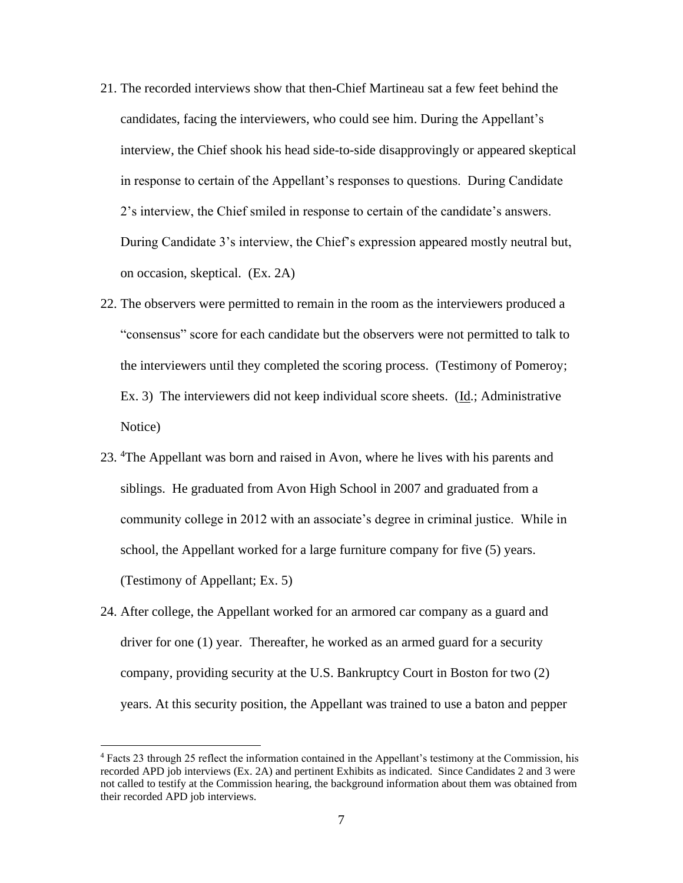- 21. The recorded interviews show that then-Chief Martineau sat a few feet behind the candidates, facing the interviewers, who could see him. During the Appellant's interview, the Chief shook his head side-to-side disapprovingly or appeared skeptical in response to certain of the Appellant's responses to questions. During Candidate 2's interview, the Chief smiled in response to certain of the candidate's answers. During Candidate 3's interview, the Chief's expression appeared mostly neutral but, on occasion, skeptical. (Ex. 2A)
- 22. The observers were permitted to remain in the room as the interviewers produced a "consensus" score for each candidate but the observers were not permitted to talk to the interviewers until they completed the scoring process. (Testimony of Pomeroy; Ex. 3) The interviewers did not keep individual score sheets. ( $\underline{Id}$ .; Administrative Notice)
- 23. <sup>4</sup>The Appellant was born and raised in Avon, where he lives with his parents and siblings. He graduated from Avon High School in 2007 and graduated from a community college in 2012 with an associate's degree in criminal justice. While in school, the Appellant worked for a large furniture company for five (5) years. (Testimony of Appellant; Ex. 5)
- 24. After college, the Appellant worked for an armored car company as a guard and driver for one (1) year. Thereafter, he worked as an armed guard for a security company, providing security at the U.S. Bankruptcy Court in Boston for two (2) years. At this security position, the Appellant was trained to use a baton and pepper

<sup>4</sup> Facts 23 through 25 reflect the information contained in the Appellant's testimony at the Commission, his recorded APD job interviews (Ex. 2A) and pertinent Exhibits as indicated. Since Candidates 2 and 3 were not called to testify at the Commission hearing, the background information about them was obtained from their recorded APD job interviews.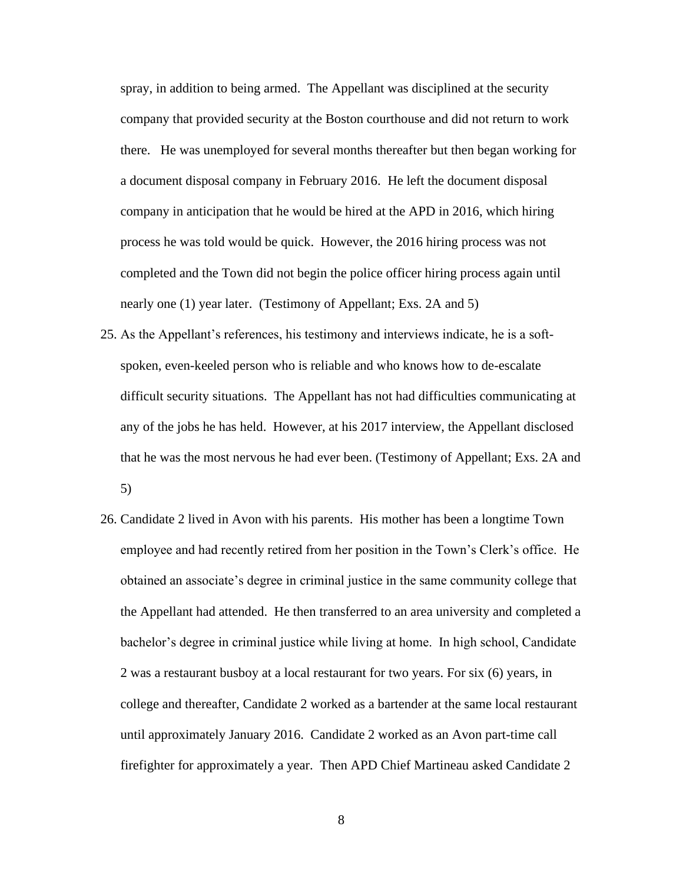spray, in addition to being armed. The Appellant was disciplined at the security company that provided security at the Boston courthouse and did not return to work there. He was unemployed for several months thereafter but then began working for a document disposal company in February 2016. He left the document disposal company in anticipation that he would be hired at the APD in 2016, which hiring process he was told would be quick. However, the 2016 hiring process was not completed and the Town did not begin the police officer hiring process again until nearly one (1) year later. (Testimony of Appellant; Exs. 2A and 5)

- 25. As the Appellant's references, his testimony and interviews indicate, he is a softspoken, even-keeled person who is reliable and who knows how to de-escalate difficult security situations. The Appellant has not had difficulties communicating at any of the jobs he has held. However, at his 2017 interview, the Appellant disclosed that he was the most nervous he had ever been. (Testimony of Appellant; Exs. 2A and 5)
- 26. Candidate 2 lived in Avon with his parents. His mother has been a longtime Town employee and had recently retired from her position in the Town's Clerk's office. He obtained an associate's degree in criminal justice in the same community college that the Appellant had attended. He then transferred to an area university and completed a bachelor's degree in criminal justice while living at home. In high school, Candidate 2 was a restaurant busboy at a local restaurant for two years. For six (6) years, in college and thereafter, Candidate 2 worked as a bartender at the same local restaurant until approximately January 2016. Candidate 2 worked as an Avon part-time call firefighter for approximately a year. Then APD Chief Martineau asked Candidate 2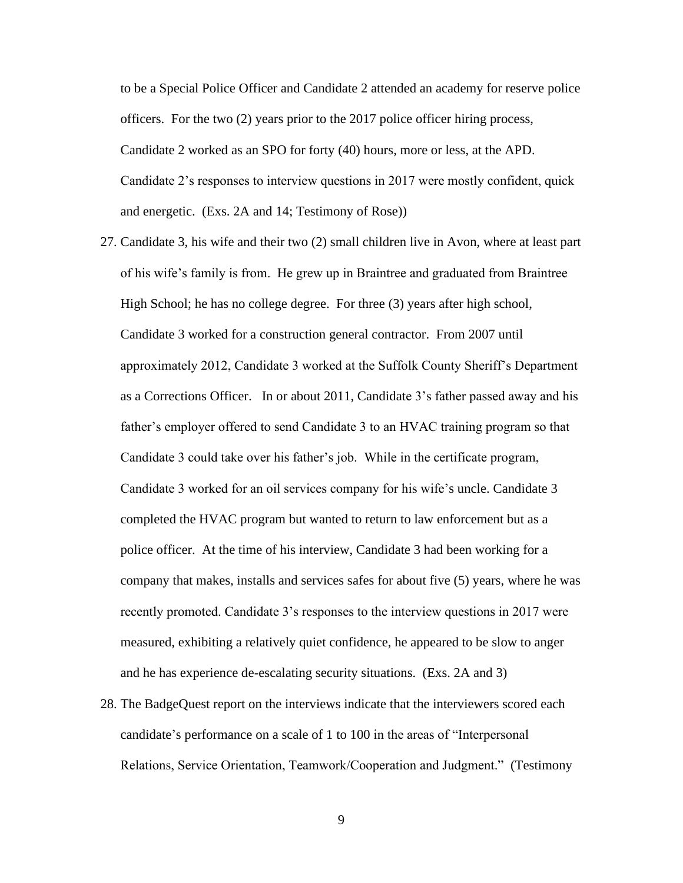to be a Special Police Officer and Candidate 2 attended an academy for reserve police officers. For the two (2) years prior to the 2017 police officer hiring process, Candidate 2 worked as an SPO for forty (40) hours, more or less, at the APD. Candidate 2's responses to interview questions in 2017 were mostly confident, quick and energetic. (Exs. 2A and 14; Testimony of Rose))

- 27. Candidate 3, his wife and their two (2) small children live in Avon, where at least part of his wife's family is from. He grew up in Braintree and graduated from Braintree High School; he has no college degree. For three (3) years after high school, Candidate 3 worked for a construction general contractor. From 2007 until approximately 2012, Candidate 3 worked at the Suffolk County Sheriff's Department as a Corrections Officer. In or about 2011, Candidate 3's father passed away and his father's employer offered to send Candidate 3 to an HVAC training program so that Candidate 3 could take over his father's job. While in the certificate program, Candidate 3 worked for an oil services company for his wife's uncle. Candidate 3 completed the HVAC program but wanted to return to law enforcement but as a police officer. At the time of his interview, Candidate 3 had been working for a company that makes, installs and services safes for about five (5) years, where he was recently promoted. Candidate 3's responses to the interview questions in 2017 were measured, exhibiting a relatively quiet confidence, he appeared to be slow to anger and he has experience de-escalating security situations. (Exs. 2A and 3)
- 28. The BadgeQuest report on the interviews indicate that the interviewers scored each candidate's performance on a scale of 1 to 100 in the areas of "Interpersonal Relations, Service Orientation, Teamwork/Cooperation and Judgment." (Testimony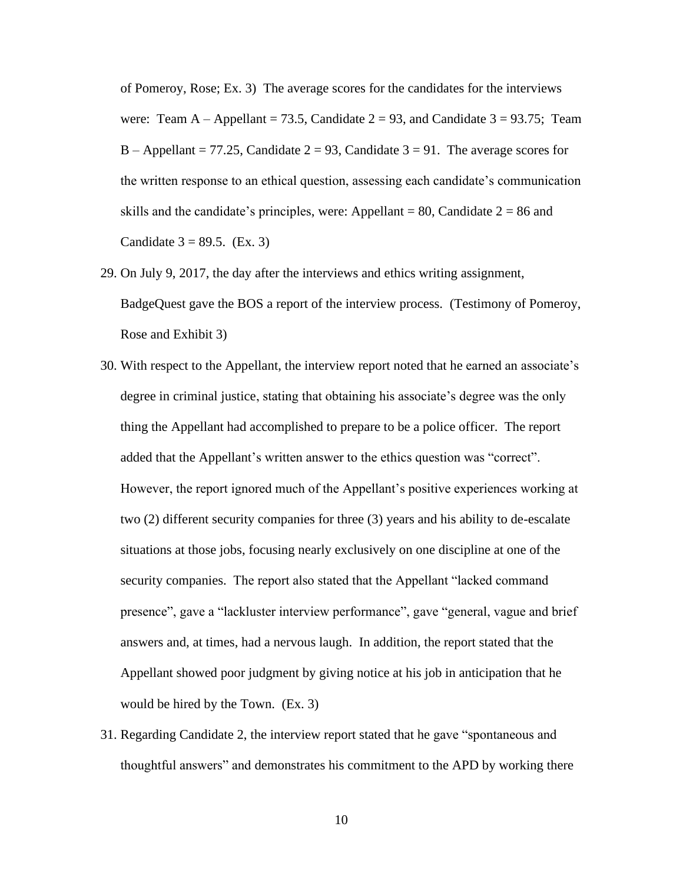of Pomeroy, Rose; Ex. 3) The average scores for the candidates for the interviews were: Team A – Appellant = 73.5, Candidate  $2 = 93$ , and Candidate  $3 = 93.75$ ; Team B – Appellant = 77.25, Candidate  $2 = 93$ , Candidate  $3 = 91$ . The average scores for the written response to an ethical question, assessing each candidate's communication skills and the candidate's principles, were: Appellant = 80, Candidate  $2 = 86$  and Candidate  $3 = 89.5$ . (Ex. 3)

- 29. On July 9, 2017, the day after the interviews and ethics writing assignment, BadgeQuest gave the BOS a report of the interview process. (Testimony of Pomeroy, Rose and Exhibit 3)
- 30. With respect to the Appellant, the interview report noted that he earned an associate's degree in criminal justice, stating that obtaining his associate's degree was the only thing the Appellant had accomplished to prepare to be a police officer. The report added that the Appellant's written answer to the ethics question was "correct". However, the report ignored much of the Appellant's positive experiences working at two (2) different security companies for three (3) years and his ability to de-escalate situations at those jobs, focusing nearly exclusively on one discipline at one of the security companies. The report also stated that the Appellant "lacked command presence", gave a "lackluster interview performance", gave "general, vague and brief answers and, at times, had a nervous laugh. In addition, the report stated that the Appellant showed poor judgment by giving notice at his job in anticipation that he would be hired by the Town. (Ex. 3)
- 31. Regarding Candidate 2, the interview report stated that he gave "spontaneous and thoughtful answers" and demonstrates his commitment to the APD by working there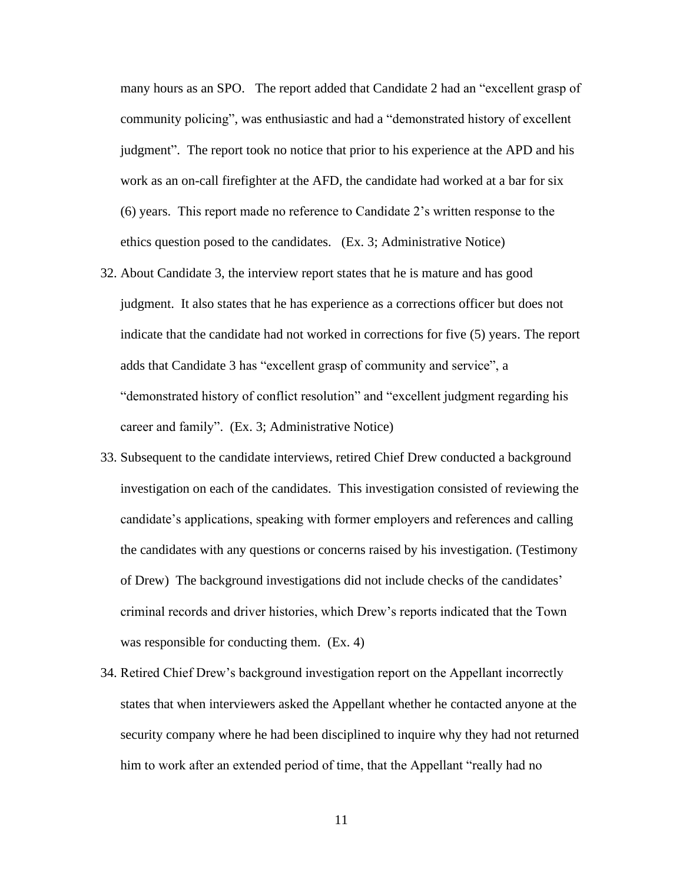many hours as an SPO. The report added that Candidate 2 had an "excellent grasp of community policing", was enthusiastic and had a "demonstrated history of excellent judgment". The report took no notice that prior to his experience at the APD and his work as an on-call firefighter at the AFD, the candidate had worked at a bar for six (6) years. This report made no reference to Candidate 2's written response to the ethics question posed to the candidates. (Ex. 3; Administrative Notice)

- 32. About Candidate 3, the interview report states that he is mature and has good judgment. It also states that he has experience as a corrections officer but does not indicate that the candidate had not worked in corrections for five (5) years. The report adds that Candidate 3 has "excellent grasp of community and service", a "demonstrated history of conflict resolution" and "excellent judgment regarding his career and family". (Ex. 3; Administrative Notice)
- 33. Subsequent to the candidate interviews, retired Chief Drew conducted a background investigation on each of the candidates. This investigation consisted of reviewing the candidate's applications, speaking with former employers and references and calling the candidates with any questions or concerns raised by his investigation. (Testimony of Drew) The background investigations did not include checks of the candidates' criminal records and driver histories, which Drew's reports indicated that the Town was responsible for conducting them. (Ex. 4)
- 34. Retired Chief Drew's background investigation report on the Appellant incorrectly states that when interviewers asked the Appellant whether he contacted anyone at the security company where he had been disciplined to inquire why they had not returned him to work after an extended period of time, that the Appellant "really had no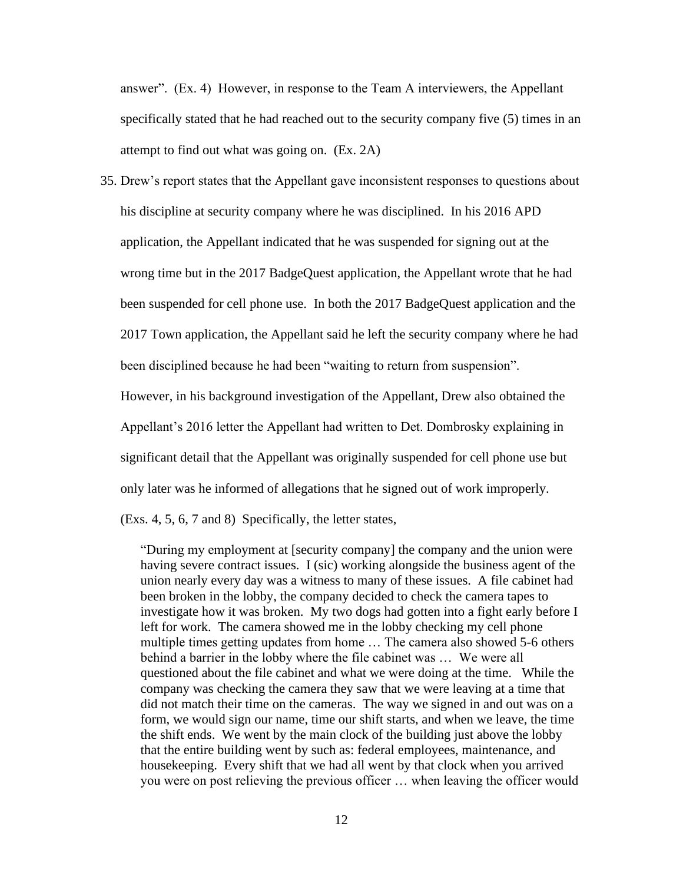answer". (Ex. 4) However, in response to the Team A interviewers, the Appellant specifically stated that he had reached out to the security company five (5) times in an attempt to find out what was going on. (Ex. 2A)

35. Drew's report states that the Appellant gave inconsistent responses to questions about his discipline at security company where he was disciplined. In his 2016 APD application, the Appellant indicated that he was suspended for signing out at the wrong time but in the 2017 BadgeQuest application, the Appellant wrote that he had been suspended for cell phone use. In both the 2017 BadgeQuest application and the 2017 Town application, the Appellant said he left the security company where he had been disciplined because he had been "waiting to return from suspension". However, in his background investigation of the Appellant, Drew also obtained the Appellant's 2016 letter the Appellant had written to Det. Dombrosky explaining in

significant detail that the Appellant was originally suspended for cell phone use but

only later was he informed of allegations that he signed out of work improperly.

(Exs. 4, 5, 6, 7 and 8) Specifically, the letter states,

"During my employment at [security company] the company and the union were having severe contract issues. I (sic) working alongside the business agent of the union nearly every day was a witness to many of these issues. A file cabinet had been broken in the lobby, the company decided to check the camera tapes to investigate how it was broken. My two dogs had gotten into a fight early before I left for work. The camera showed me in the lobby checking my cell phone multiple times getting updates from home … The camera also showed 5-6 others behind a barrier in the lobby where the file cabinet was … We were all questioned about the file cabinet and what we were doing at the time. While the company was checking the camera they saw that we were leaving at a time that did not match their time on the cameras. The way we signed in and out was on a form, we would sign our name, time our shift starts, and when we leave, the time the shift ends. We went by the main clock of the building just above the lobby that the entire building went by such as: federal employees, maintenance, and housekeeping. Every shift that we had all went by that clock when you arrived you were on post relieving the previous officer … when leaving the officer would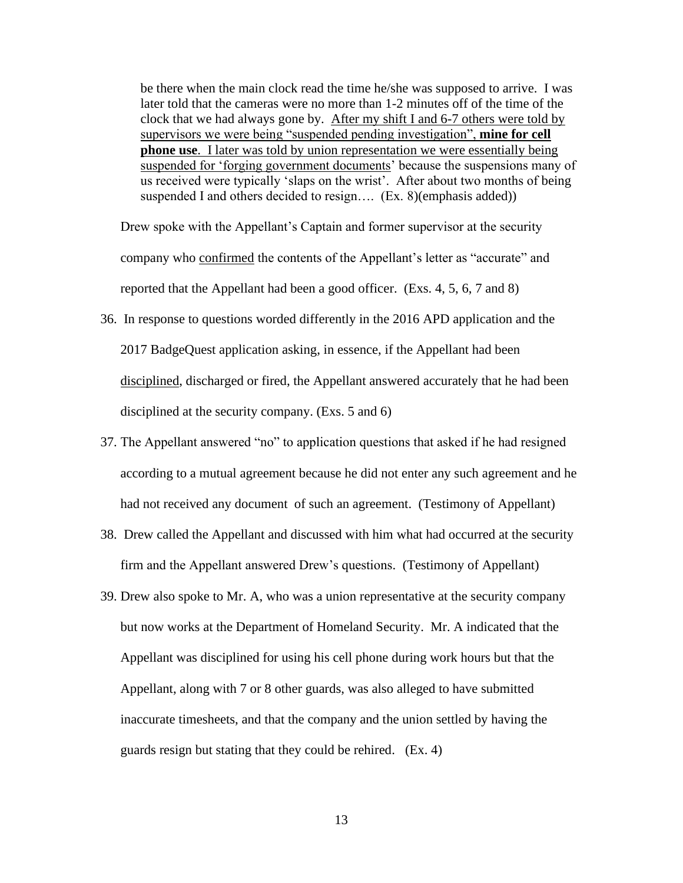be there when the main clock read the time he/she was supposed to arrive. I was later told that the cameras were no more than 1-2 minutes off of the time of the clock that we had always gone by. After my shift I and 6-7 others were told by supervisors we were being "suspended pending investigation", **mine for cell phone use**. I later was told by union representation we were essentially being suspended for 'forging government documents' because the suspensions many of us received were typically 'slaps on the wrist'. After about two months of being suspended I and others decided to resign.... (Ex. 8)(emphasis added))

Drew spoke with the Appellant's Captain and former supervisor at the security company who confirmed the contents of the Appellant's letter as "accurate" and reported that the Appellant had been a good officer. (Exs. 4, 5, 6, 7 and 8)

- 36. In response to questions worded differently in the 2016 APD application and the 2017 BadgeQuest application asking, in essence, if the Appellant had been disciplined, discharged or fired, the Appellant answered accurately that he had been disciplined at the security company. (Exs. 5 and 6)
- 37. The Appellant answered "no" to application questions that asked if he had resigned according to a mutual agreement because he did not enter any such agreement and he had not received any document of such an agreement. (Testimony of Appellant)
- 38. Drew called the Appellant and discussed with him what had occurred at the security firm and the Appellant answered Drew's questions. (Testimony of Appellant)
- 39. Drew also spoke to Mr. A, who was a union representative at the security company but now works at the Department of Homeland Security. Mr. A indicated that the Appellant was disciplined for using his cell phone during work hours but that the Appellant, along with 7 or 8 other guards, was also alleged to have submitted inaccurate timesheets, and that the company and the union settled by having the guards resign but stating that they could be rehired. (Ex. 4)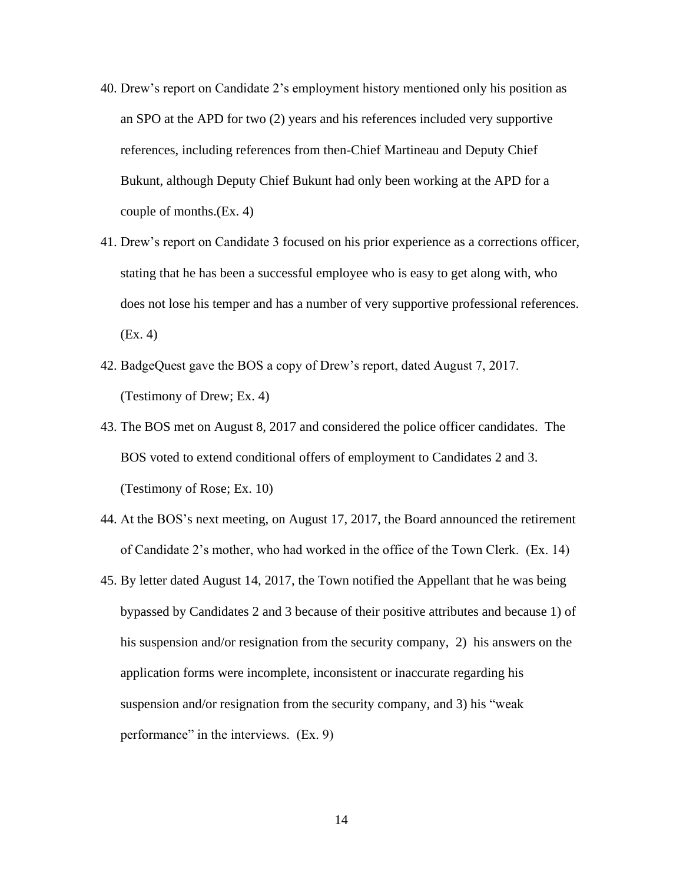- 40. Drew's report on Candidate 2's employment history mentioned only his position as an SPO at the APD for two (2) years and his references included very supportive references, including references from then-Chief Martineau and Deputy Chief Bukunt, although Deputy Chief Bukunt had only been working at the APD for a couple of months.(Ex. 4)
- 41. Drew's report on Candidate 3 focused on his prior experience as a corrections officer, stating that he has been a successful employee who is easy to get along with, who does not lose his temper and has a number of very supportive professional references. (Ex. 4)
- 42. BadgeQuest gave the BOS a copy of Drew's report, dated August 7, 2017. (Testimony of Drew; Ex. 4)
- 43. The BOS met on August 8, 2017 and considered the police officer candidates. The BOS voted to extend conditional offers of employment to Candidates 2 and 3. (Testimony of Rose; Ex. 10)
- 44. At the BOS's next meeting, on August 17, 2017, the Board announced the retirement of Candidate 2's mother, who had worked in the office of the Town Clerk. (Ex. 14)
- 45. By letter dated August 14, 2017, the Town notified the Appellant that he was being bypassed by Candidates 2 and 3 because of their positive attributes and because 1) of his suspension and/or resignation from the security company, 2) his answers on the application forms were incomplete, inconsistent or inaccurate regarding his suspension and/or resignation from the security company, and 3) his "weak performance" in the interviews. (Ex. 9)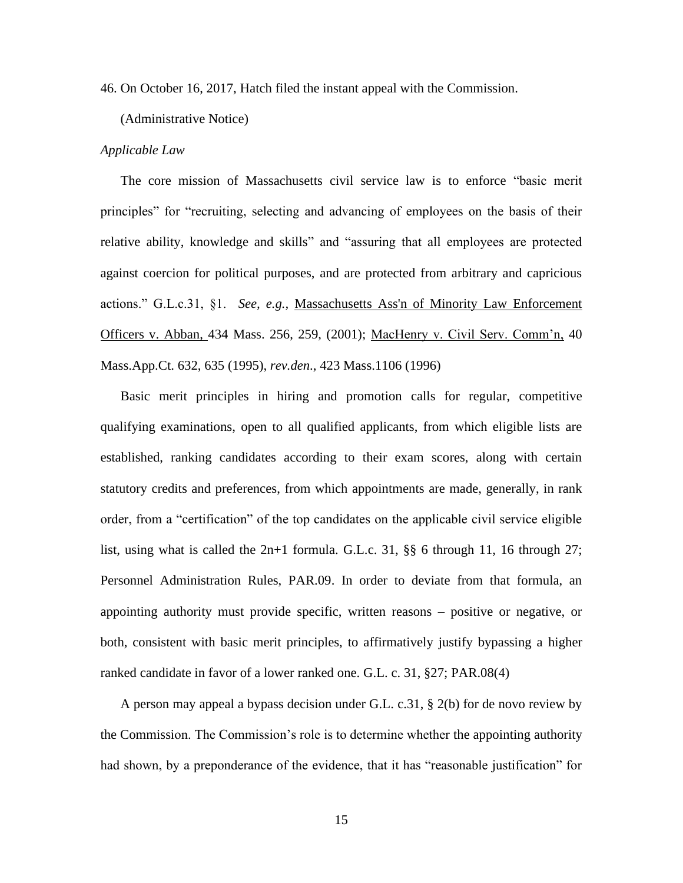46. On October 16, 2017, Hatch filed the instant appeal with the Commission.

(Administrative Notice)

#### *Applicable Law*

The core mission of Massachusetts civil service law is to enforce "basic merit principles" for "recruiting, selecting and advancing of employees on the basis of their relative ability, knowledge and skills" and "assuring that all employees are protected against coercion for political purposes, and are protected from arbitrary and capricious actions." G.L.c.31, §1. *See, e.g.,* [Massachusetts Ass'n of Minority Law Enforcement](http://web2.westlaw.com/find/default.wl?mt=Massachusetts&db=578&rs=WLW15.04&tc=-1&rp=%2ffind%2fdefault.wl&findtype=Y&ordoc=2029136022&serialnum=2001441097&vr=2.0&fn=_top&sv=Split&tf=-1&pbc=70F732C1&utid=1)  Officers v. Abban, [434 Mass. 256, 259, \(2001\);](http://web2.westlaw.com/find/default.wl?mt=Massachusetts&db=578&rs=WLW15.04&tc=-1&rp=%2ffind%2fdefault.wl&findtype=Y&ordoc=2029136022&serialnum=2001441097&vr=2.0&fn=_top&sv=Split&tf=-1&pbc=70F732C1&utid=1) MacHenry v. Civil Serv. Comm'n, 40 Mass.App.Ct. 632, 635 (1995), *rev.den*., 423 Mass.1106 (1996)

Basic merit principles in hiring and promotion calls for regular, competitive qualifying examinations, open to all qualified applicants, from which eligible lists are established, ranking candidates according to their exam scores, along with certain statutory credits and preferences, from which appointments are made, generally, in rank order, from a "certification" of the top candidates on the applicable civil service eligible list, using what is called the  $2n+1$  formula. G.L.c. 31, §§ 6 through 11, 16 through 27; Personnel Administration Rules, PAR.09. In order to deviate from that formula, an appointing authority must provide specific, written reasons – positive or negative, or both, consistent with basic merit principles, to affirmatively justify bypassing a higher ranked candidate in favor of a lower ranked one. G.L. c. 31, §27; PAR.08(4)

A person may appeal a bypass decision under G.L. c.31, § 2(b) for de novo review by the Commission. The Commission's role is to determine whether the appointing authority had shown, by a preponderance of the evidence, that it has "reasonable justification" for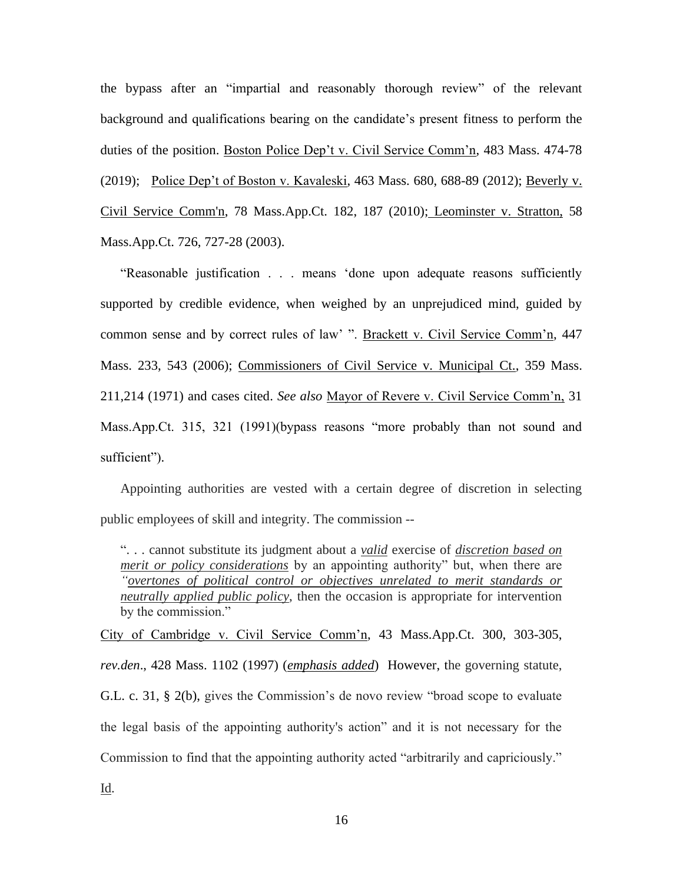the bypass after an "impartial and reasonably thorough review" of the relevant background and qualifications bearing on the candidate's present fitness to perform the duties of the position. Boston Police Dep't v. Civil Service Comm'n, 483 Mass. 474-78 (2019); Police Dep't of Boston v. Kavaleski, 463 Mass. 680, 688-89 (2012); [Beverly v.](http://web2.westlaw.com/find/default.wl?mt=Massachusetts&db=578&rs=WLW15.04&tc=-1&rp=%2ffind%2fdefault.wl&findtype=Y&ordoc=2029136022&serialnum=2023501172&vr=2.0&fn=_top&sv=Split&tf=-1&pbc=70F732C1&utid=1)  [Civil Service Comm'n, 78 Mass.App.Ct. 182, 187 \(2010\);](http://web2.westlaw.com/find/default.wl?mt=Massachusetts&db=578&rs=WLW15.04&tc=-1&rp=%2ffind%2fdefault.wl&findtype=Y&ordoc=2029136022&serialnum=2023501172&vr=2.0&fn=_top&sv=Split&tf=-1&pbc=70F732C1&utid=1) Leominster v. Stratton, 58 Mass.App.Ct. 726, 727-28 (2003).

"Reasonable justification . . . means 'done upon adequate reasons sufficiently supported by credible evidence, when weighed by an unprejudiced mind, guided by common sense and by correct rules of law' ". Brackett v. Civil Service Comm'n, 447 Mass. 233, 543 (2006); Commissioners of Civil Service v. Municipal Ct., 359 Mass. 211,214 (1971) and cases cited. *See also* Mayor of Revere v. Civil Service Comm'n, 31 Mass.App.Ct. 315, 321 (1991)(bypass reasons "more probably than not sound and sufficient").

Appointing authorities are vested with a certain degree of discretion in selecting public employees of skill and integrity. The commission --

". . . cannot substitute its judgment about a *valid* exercise of *discretion based on merit or policy considerations* by an appointing authority" but, when there are *"overtones of political control or objectives unrelated to merit standards or neutrally applied public policy*, then the occasion is appropriate for intervention by the commission."

City of Cambridge v. Civil Service Comm'n, 43 Mass.App.Ct. 300, 303-305, *rev.den*., 428 Mass. 1102 (1997) (*emphasis added*) However, the governing statute, G.L. c. 31, § [2\(b\),](https://1.next.westlaw.com/Link/Document/FullText?findType=L&pubNum=1000042&cite=MAST31S2&originatingDoc=Ib21af0ded3bd11d99439b076ef9ec4de&refType=LQ&originationContext=document&transitionType=DocumentItem&contextData=(sc.History*oc.UserEnteredCitation)) gives the Commission's de novo review "broad scope to evaluate the legal basis of the appointing authority's action" and it is not necessary for the Commission to find that the appointing authority acted "arbitrarily and capriciously."

Id.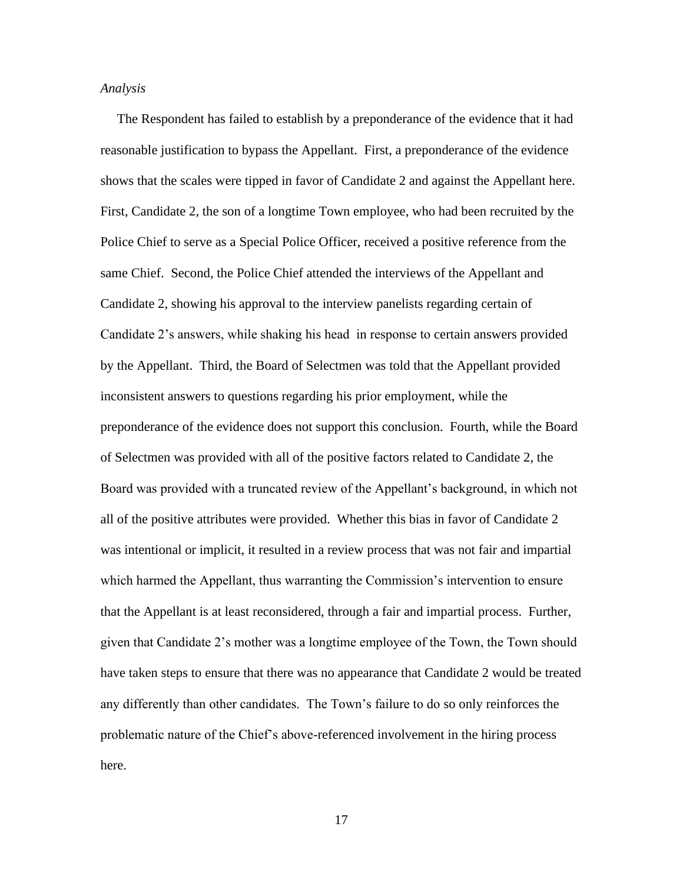#### *Analysis*

 The Respondent has failed to establish by a preponderance of the evidence that it had reasonable justification to bypass the Appellant. First, a preponderance of the evidence shows that the scales were tipped in favor of Candidate 2 and against the Appellant here. First, Candidate 2, the son of a longtime Town employee, who had been recruited by the Police Chief to serve as a Special Police Officer, received a positive reference from the same Chief. Second, the Police Chief attended the interviews of the Appellant and Candidate 2, showing his approval to the interview panelists regarding certain of Candidate 2's answers, while shaking his head in response to certain answers provided by the Appellant. Third, the Board of Selectmen was told that the Appellant provided inconsistent answers to questions regarding his prior employment, while the preponderance of the evidence does not support this conclusion. Fourth, while the Board of Selectmen was provided with all of the positive factors related to Candidate 2, the Board was provided with a truncated review of the Appellant's background, in which not all of the positive attributes were provided. Whether this bias in favor of Candidate 2 was intentional or implicit, it resulted in a review process that was not fair and impartial which harmed the Appellant, thus warranting the Commission's intervention to ensure that the Appellant is at least reconsidered, through a fair and impartial process. Further, given that Candidate 2's mother was a longtime employee of the Town, the Town should have taken steps to ensure that there was no appearance that Candidate 2 would be treated any differently than other candidates. The Town's failure to do so only reinforces the problematic nature of the Chief's above-referenced involvement in the hiring process here.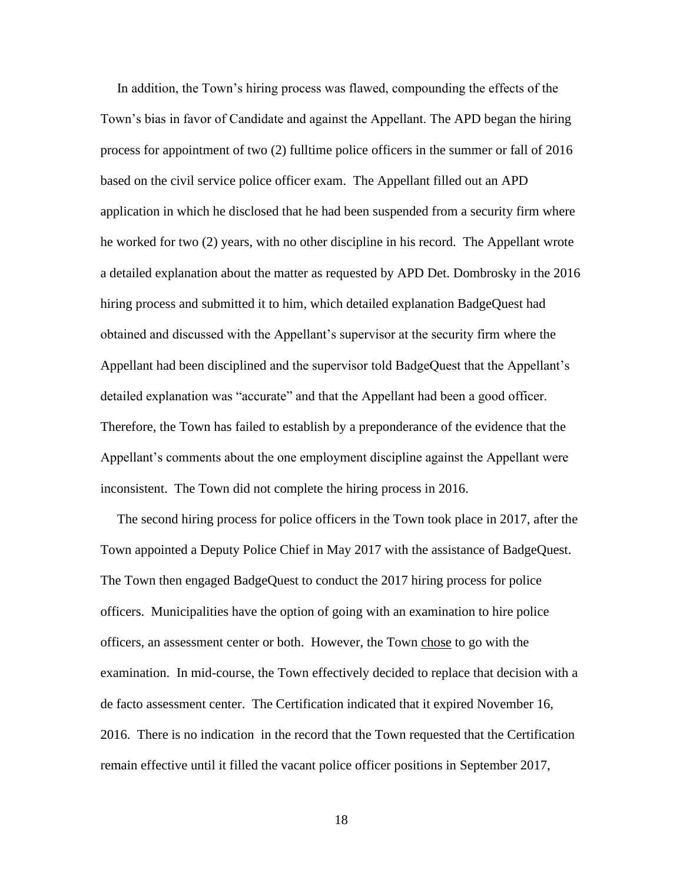In addition, the Town's hiring process was flawed, compounding the effects of the Town's bias in favor of Candidate and against the Appellant. The APD began the hiring process for appointment of two (2) fulltime police officers in the summer or fall of 2016 based on the civil service police officer exam. The Appellant filled out an APD application in which he disclosed that he had been suspended from a security firm where he worked for two (2) years, with no other discipline in his record. The Appellant wrote a detailed explanation about the matter as requested by APD Det. Dombrosky in the 2016 hiring process and submitted it to him, which detailed explanation BadgeQuest had obtained and discussed with the Appellant's supervisor at the security firm where the Appellant had been disciplined and the supervisor told BadgeQuest that the Appellant's detailed explanation was "accurate" and that the Appellant had been a good officer. Therefore, the Town has failed to establish by a preponderance of the evidence that the Appellant's comments about the one employment discipline against the Appellant were inconsistent. The Town did not complete the hiring process in 2016.

 The second hiring process for police officers in the Town took place in 2017, after the Town appointed a Deputy Police Chief in May 2017 with the assistance of BadgeQuest. The Town then engaged BadgeQuest to conduct the 2017 hiring process for police officers. Municipalities have the option of going with an examination to hire police officers, an assessment center or both. However, the Town chose to go with the examination. In mid-course, the Town effectively decided to replace that decision with a de facto assessment center. The Certification indicated that it expired November 16, 2016. There is no indication in the record that the Town requested that the Certification remain effective until it filled the vacant police officer positions in September 2017,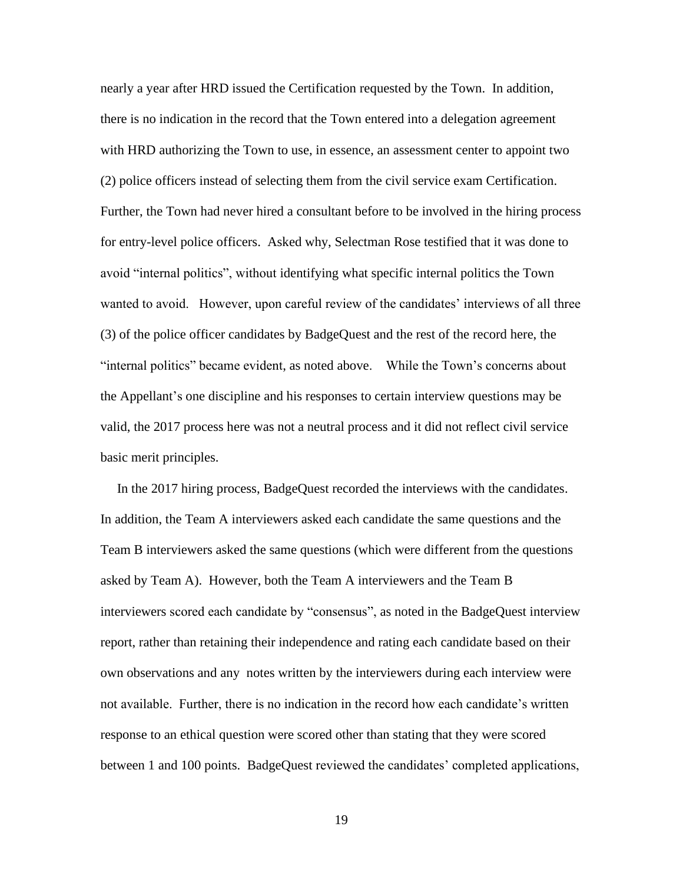nearly a year after HRD issued the Certification requested by the Town. In addition, there is no indication in the record that the Town entered into a delegation agreement with HRD authorizing the Town to use, in essence, an assessment center to appoint two (2) police officers instead of selecting them from the civil service exam Certification. Further, the Town had never hired a consultant before to be involved in the hiring process for entry-level police officers. Asked why, Selectman Rose testified that it was done to avoid "internal politics", without identifying what specific internal politics the Town wanted to avoid. However, upon careful review of the candidates' interviews of all three (3) of the police officer candidates by BadgeQuest and the rest of the record here, the "internal politics" became evident, as noted above. While the Town's concerns about the Appellant's one discipline and his responses to certain interview questions may be valid, the 2017 process here was not a neutral process and it did not reflect civil service basic merit principles.

 In the 2017 hiring process, BadgeQuest recorded the interviews with the candidates. In addition, the Team A interviewers asked each candidate the same questions and the Team B interviewers asked the same questions (which were different from the questions asked by Team A). However, both the Team A interviewers and the Team B interviewers scored each candidate by "consensus", as noted in the BadgeQuest interview report, rather than retaining their independence and rating each candidate based on their own observations and any notes written by the interviewers during each interview were not available. Further, there is no indication in the record how each candidate's written response to an ethical question were scored other than stating that they were scored between 1 and 100 points. BadgeQuest reviewed the candidates' completed applications,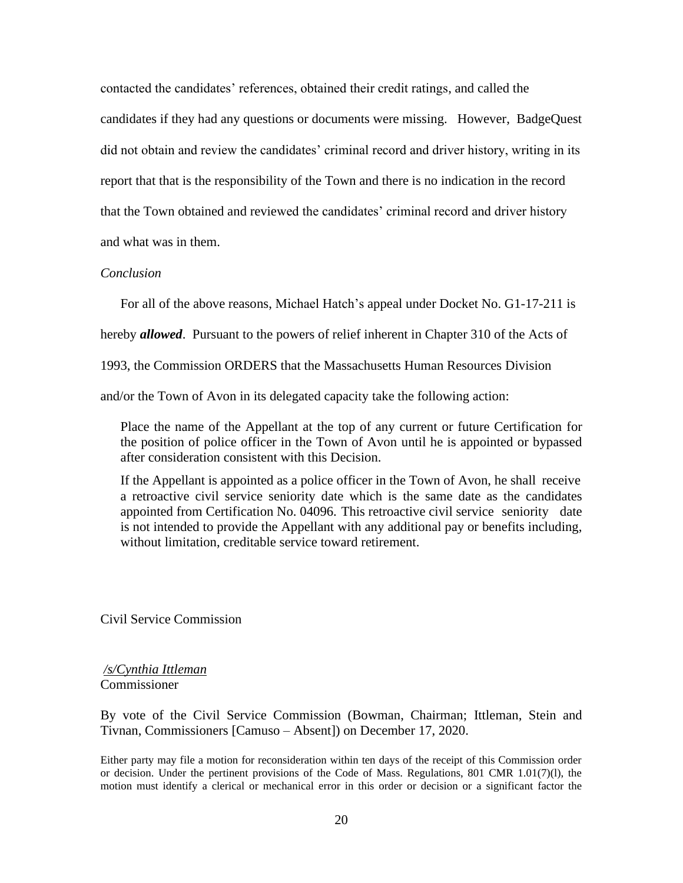contacted the candidates' references, obtained their credit ratings, and called the candidates if they had any questions or documents were missing. However, BadgeQuest did not obtain and review the candidates' criminal record and driver history, writing in its report that that is the responsibility of the Town and there is no indication in the record that the Town obtained and reviewed the candidates' criminal record and driver history and what was in them.

# *Conclusion*

For all of the above reasons, Michael Hatch's appeal under Docket No. G1-17-211 is

hereby *allowed*. Pursuant to the powers of relief inherent in Chapter 310 of the Acts of

1993, the Commission ORDERS that the Massachusetts Human Resources Division

and/or the Town of Avon in its delegated capacity take the following action:

Place the name of the Appellant at the top of any current or future Certification for the position of police officer in the Town of Avon until he is appointed or bypassed after consideration consistent with this Decision.

If the Appellant is appointed as a police officer in the Town of Avon, he shall receive a retroactive civil service seniority date which is the same date as the candidates appointed from Certification No. 04096. This retroactive civil service seniority date is not intended to provide the Appellant with any additional pay or benefits including, without limitation, creditable service toward retirement.

Civil Service Commission

*/s/Cynthia Ittleman*  Commissioner

By vote of the Civil Service Commission (Bowman, Chairman; Ittleman, Stein and Tivnan, Commissioners [Camuso – Absent]) on December 17, 2020.

Either party may file a motion for reconsideration within ten days of the receipt of this Commission order or decision. Under the pertinent provisions of the Code of Mass. Regulations, 801 CMR 1.01(7)(l), the motion must identify a clerical or mechanical error in this order or decision or a significant factor the